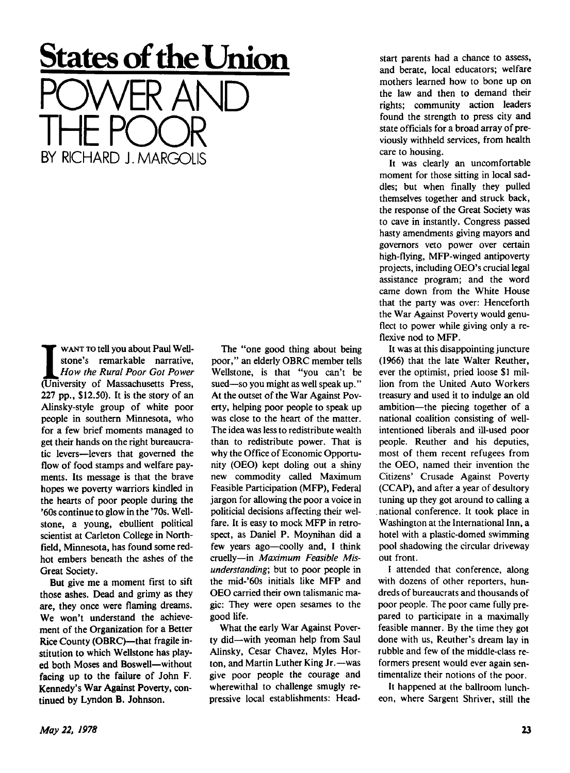## **States of the Union**  POWER AND

THE POOR

BY RICHARD J.MARGOLIS

WANT TO tell you about Paul Wellstone's remarkable narrative,<br>How the Rural Poor Got Power<br>(University of Massachusetts Press, WANT TO tell you about Paul Wellstone's remarkable narrative, *How the Rural Poor Got Power*  227 pp., \$12.50). It is the story of an Alinsky-style group of white poor people in southern Minnesota, who for a few brief moments managed to get their hands on the right bureaucratic levers—levers that governed the flow of food stamps and welfare payments. Its message is that the brave hopes we poverty warriors kindled in the hearts of poor people during the '60s continue to glow in the '70s. Wellstone, a young, ebullient political scientist at Carleton College in Northfield, Minnesota, has found some redhot embers beneath the ashes of the Great Society.

But give me a moment first to sift those ashes. Dead and grimy as they are, they once were flaming dreams. We won't understand the achievement of the Organization for a Better Rice County (OBRC)—that fragile institution to which Wellstone has played both Moses and Boswell—without facing up to the failure of John F. Kennedy's War Against Poverty, continued by Lyndon B. Johnson.

The "one good thing about being poor," an elderly OBRC member tells Wellstone, is that "you can't be sued—so you might as well speak up." At the outset of the War Against Poverty, helping poor people to speak up was close to the heart of the matter. The idea was less to redistribute wealth than to redistribute power. That is why the Office of Economic Opportunity (OEO) kept doling out a shiny new commodity called Maximum Feasible Participation (MFP), Federal jargon for allowing the poor a voice in politicial decisions affecting their welfare. It is easy to mock MFP in retrospect, as Daniel P. Moynihan did a few years ago—coolly and, I think cruelly—in *Maximum Feasible Misunderstanding;* but to poor people in the mid-'60s initials like MFP and OEO carried their own talismanic magic: They were open sesames to the good life.

What the early War Against Poverty did—with yeoman help from Saul Alinsky, Cesar Chavez, Myles Horton, and Martin Luther King Jr.—was give poor people the courage and wherewithal to challenge smugly repressive local establishments: Headstart parents had a chance to assess, and berate, local educators; welfare mothers learned how to bone up on the law and then to demand their rights; community action leaders found the strength to press city and state officials for a broad array of previously withheld services, from health care to housing.

It was clearly an uncomfortable moment for those sitting in local saddles; but when finally they pulled themselves together and struck back, the response of the Great Society was to cave in instantly. Congress passed hasty amendments giving mayors and governors veto power over certain high-flying, MFP-winged antipoverty projects, including OEO's crucial legal assistance program; and the word came down from the White House that the party was over: Henceforth the War Against Poverty would genuflect to power while giving only a reflexive nod to MFP.

It was at this disappointing juncture (1966) that the late Walter Reuther, ever the optimist, pried loose \$1 million from the United Auto Workers treasury and used it to indulge an old ambition—the piecing together of a national coalition consisting of wellintentioned liberals and ill-used poor people. Reuther and his deputies, most of them recent refugees from the OEO, named their invention the Citizens' Crusade Against Poverty (CCAP), and after a year of desultory tuning up they got around to calling a national conference. It took place in Washington at the International Inn, a hotel with a plastic-domed swimming pool shadowing the circular driveway out front.

I attended that conference, along with dozens of other reporters, hundreds of bureaucrats and thousands of poor people. The poor came fully prepared to participate in a maximally feasible manner. By the time they got done with us, Reuther's dream lay in rubble and few of the middle-class reformers present would ever again sentimentalize their notions of the poor.

It happened at the ballroom luncheon, where Sargent Shriver, still the